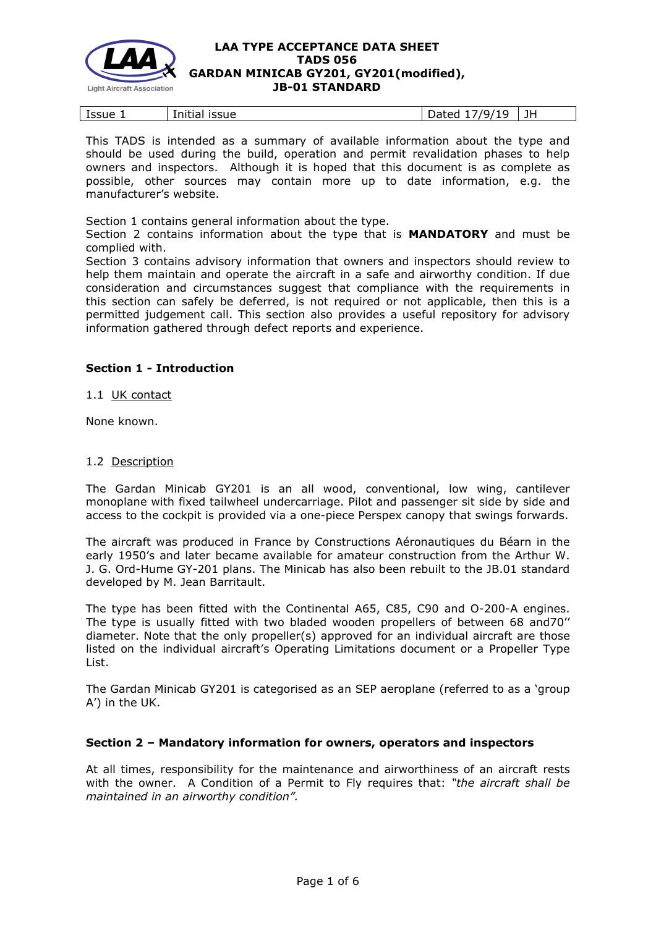

| Issue<br>JH<br>$1.0.1 + 1.0$<br>issue<br>70.<br>u<br>ullud'<br>paca |  |
|---------------------------------------------------------------------|--|
|                                                                     |  |

This TADS is intended as a summary of available information about the type and should be used during the build, operation and permit revalidation phases to help owners and inspectors. Although it is hoped that this document is as complete as possible, other sources may contain more up to date information, e.g. the manufacturer's website.

Section 1 contains general information about the type.

Section 2 contains information about the type that is **MANDATORY** and must be complied with.

Section 3 contains advisory information that owners and inspectors should review to help them maintain and operate the aircraft in a safe and airworthy condition. If due consideration and circumstances suggest that compliance with the requirements in this section can safely be deferred, is not required or not applicable, then this is a permitted judgement call. This section also provides a useful repository for advisory information gathered through defect reports and experience.

## **Section 1 - Introduction**

1.1 UK contact

None known.

#### 1.2 Description

The Gardan Minicab GY201 is an all wood, conventional, low wing, cantilever monoplane with fixed tailwheel undercarriage. Pilot and passenger sit side by side and access to the cockpit is provided via a one-piece Perspex canopy that swings forwards.

The aircraft was produced in France by Constructions Aéronautiques du Béarn in the early 1950's and later became available for amateur construction from the Arthur W. J. G. Ord-Hume GY-201 plans. The Minicab has also been rebuilt to the JB.01 standard developed by M. Jean Barritault.

The type has been fitted with the Continental A65, C85, C90 and O-200-A engines. The type is usually fitted with two bladed wooden propellers of between 68 and70'' diameter. Note that the only propeller(s) approved for an individual aircraft are those listed on the individual aircraft's Operating Limitations document or a Propeller Type List.

The Gardan Minicab GY201 is categorised as an SEP aeroplane (referred to as a 'group A') in the UK.

## **Section 2 – Mandatory information for owners, operators and inspectors**

At all times, responsibility for the maintenance and airworthiness of an aircraft rests with the owner. A Condition of a Permit to Fly requires that: *"the aircraft shall be maintained in an airworthy condition".*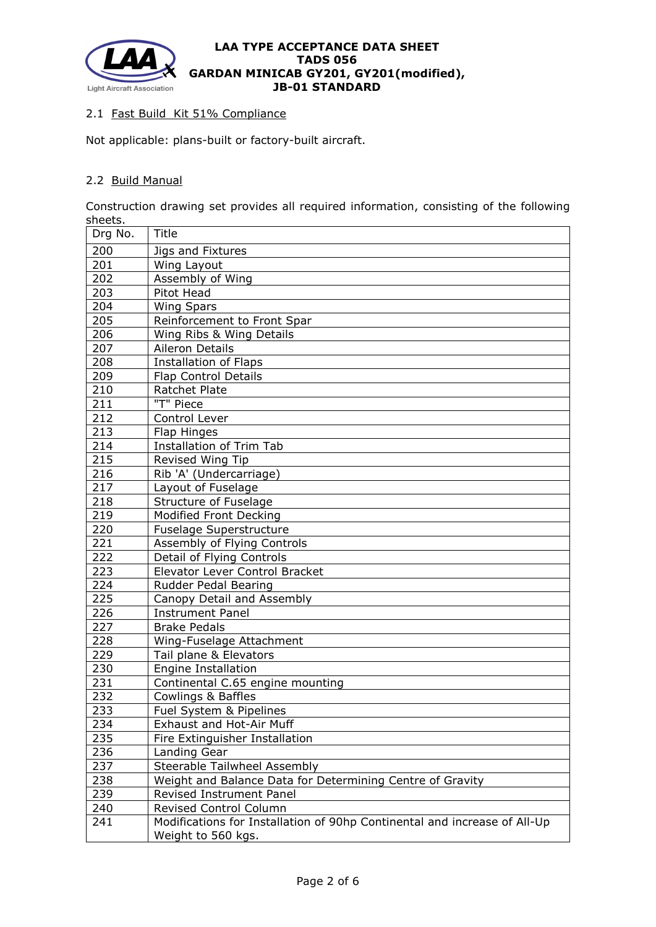

## 2.1 Fast Build Kit 51% Compliance

Not applicable: plans-built or factory-built aircraft.

# 2.2 Build Manual

Construction drawing set provides all required information, consisting of the following sheets.

| Drg No. | Title                                                                                           |  |  |
|---------|-------------------------------------------------------------------------------------------------|--|--|
| 200     | Jigs and Fixtures                                                                               |  |  |
| 201     | Wing Layout                                                                                     |  |  |
| 202     | Assembly of Wing                                                                                |  |  |
| 203     | Pitot Head                                                                                      |  |  |
| 204     | <b>Wing Spars</b>                                                                               |  |  |
| 205     | Reinforcement to Front Spar                                                                     |  |  |
| 206     | Wing Ribs & Wing Details                                                                        |  |  |
| 207     | Aileron Details                                                                                 |  |  |
| 208     | <b>Installation of Flaps</b>                                                                    |  |  |
| 209     | Flap Control Details                                                                            |  |  |
| 210     | Ratchet Plate                                                                                   |  |  |
| 211     | "T" Piece                                                                                       |  |  |
| 212     | Control Lever                                                                                   |  |  |
| 213     | Flap Hinges                                                                                     |  |  |
| 214     | <b>Installation of Trim Tab</b>                                                                 |  |  |
| 215     | Revised Wing Tip                                                                                |  |  |
| 216     | Rib 'A' (Undercarriage)                                                                         |  |  |
| 217     | Layout of Fuselage                                                                              |  |  |
| 218     | Structure of Fuselage                                                                           |  |  |
| 219     | <b>Modified Front Decking</b>                                                                   |  |  |
| 220     | Fuselage Superstructure                                                                         |  |  |
| 221     | Assembly of Flying Controls                                                                     |  |  |
| 222     | Detail of Flying Controls                                                                       |  |  |
| 223     | Elevator Lever Control Bracket                                                                  |  |  |
| 224     | Rudder Pedal Bearing                                                                            |  |  |
| 225     | Canopy Detail and Assembly                                                                      |  |  |
| 226     | <b>Instrument Panel</b>                                                                         |  |  |
| 227     | <b>Brake Pedals</b>                                                                             |  |  |
| 228     | Wing-Fuselage Attachment                                                                        |  |  |
| 229     | Tail plane & Elevators                                                                          |  |  |
| 230     | <b>Engine Installation</b>                                                                      |  |  |
| 231     | Continental C.65 engine mounting                                                                |  |  |
| 232     | <b>Cowlings &amp; Baffles</b>                                                                   |  |  |
| 233     | Fuel System & Pipelines                                                                         |  |  |
| 234     | Exhaust and Hot-Air Muff                                                                        |  |  |
| 235     | Fire Extinguisher Installation                                                                  |  |  |
| 236     | Landing Gear                                                                                    |  |  |
| 237     | Steerable Tailwheel Assembly                                                                    |  |  |
| 238     | Weight and Balance Data for Determining Centre of Gravity                                       |  |  |
| 239     | Revised Instrument Panel                                                                        |  |  |
| 240     | <b>Revised Control Column</b>                                                                   |  |  |
| 241     | Modifications for Installation of 90hp Continental and increase of All-Up<br>Weight to 560 kgs. |  |  |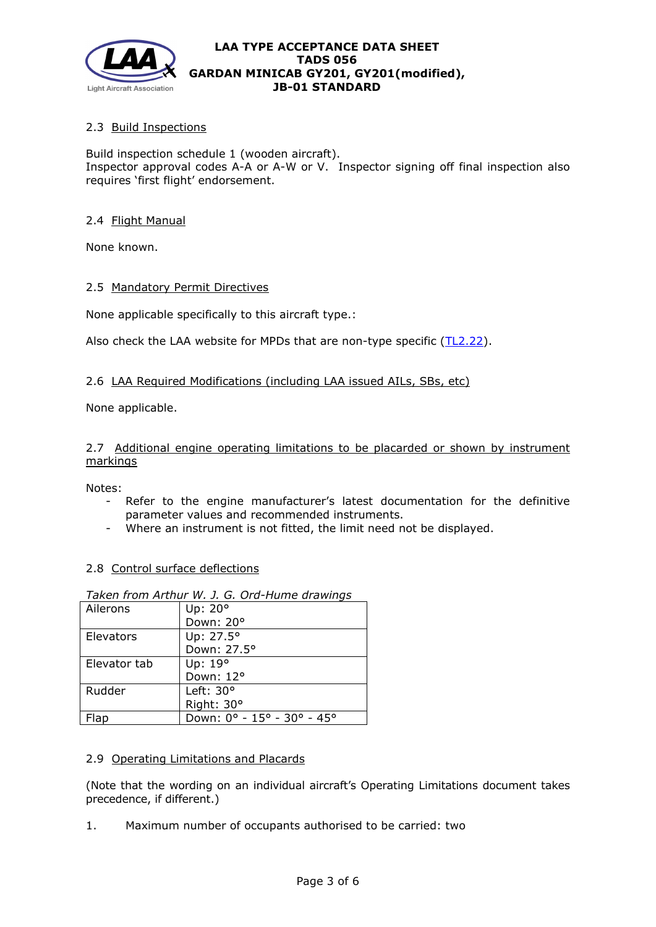

# 2.3 Build Inspections

Build inspection schedule 1 (wooden aircraft). Inspector approval codes A-A or A-W or V. Inspector signing off final inspection also requires 'first flight' endorsement.

## 2.4 Flight Manual

None known.

## 2.5 Mandatory Permit Directives

None applicable specifically to this aircraft type.:

Also check the LAA website for MPDs that are non-type specific [\(TL2.22\)](http://www.lightaircraftassociation.co.uk/engineering/TechnicalLeaflets/Operating%20An%20Aircraft/TL%202.22%20non-type%20specific%20MPDs.pdf).

## 2.6 LAA Required Modifications (including LAA issued AILs, SBs, etc)

None applicable.

2.7 Additional engine operating limitations to be placarded or shown by instrument markings

Notes:

- Refer to the engine manufacturer's latest documentation for the definitive parameter values and recommended instruments.
- Where an instrument is not fitted, the limit need not be displayed.

# 2.8 Control surface deflections

| Ailerons     | Up: 20°                    |
|--------------|----------------------------|
|              | Down: 20°                  |
| Elevators    | Up: 27.5°                  |
|              | Down: 27.5°                |
| Elevator tab | Up: 19°                    |
|              | Down: 12°                  |
| Rudder       | Left: $30^{\circ}$         |
|              | Right: 30°                 |
| lap          | Down: 0° - 15° - 30° - 45° |

# *Taken from Arthur W. J. G. Ord-Hume drawings*

## 2.9 Operating Limitations and Placards

(Note that the wording on an individual aircraft's Operating Limitations document takes precedence, if different.)

1. Maximum number of occupants authorised to be carried: two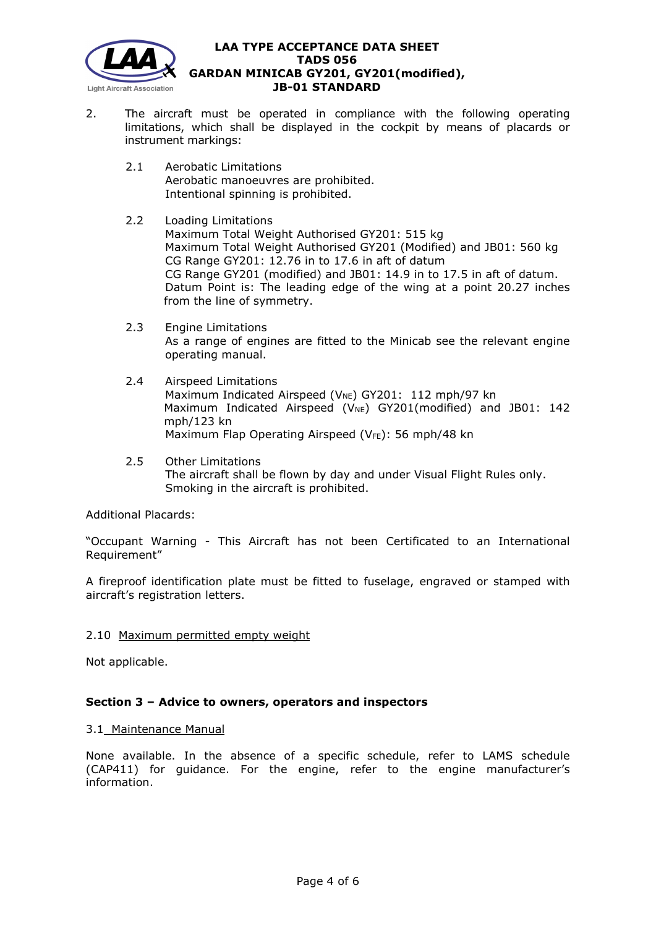

- 2. The aircraft must be operated in compliance with the following operating limitations, which shall be displayed in the cockpit by means of placards or instrument markings:
	- 2.1 Aerobatic Limitations Aerobatic manoeuvres are prohibited. Intentional spinning is prohibited.
	- 2.2 Loading Limitations Maximum Total Weight Authorised GY201: 515 kg Maximum Total Weight Authorised GY201 (Modified) and JB01: 560 kg CG Range GY201: 12.76 in to 17.6 in aft of datum CG Range GY201 (modified) and JB01: 14.9 in to 17.5 in aft of datum. Datum Point is: The leading edge of the wing at a point 20.27 inches from the line of symmetry.
	- 2.3 Engine Limitations As a range of engines are fitted to the Minicab see the relevant engine operating manual.
	- 2.4 Airspeed Limitations Maximum Indicated Airspeed ( $V_{NE}$ ) GY201: 112 mph/97 kn Maximum Indicated Airspeed (V<sub>NE</sub>) GY201(modified) and JB01: 142 mph/123 kn Maximum Flap Operating Airspeed (VFE): 56 mph/48 kn
	- 2.5 Other Limitations The aircraft shall be flown by day and under Visual Flight Rules only. Smoking in the aircraft is prohibited.

Additional Placards:

"Occupant Warning - This Aircraft has not been Certificated to an International Requirement"

A fireproof identification plate must be fitted to fuselage, engraved or stamped with aircraft's registration letters.

2.10 Maximum permitted empty weight

Not applicable.

# **Section 3 – Advice to owners, operators and inspectors**

## 3.1 Maintenance Manual

None available. In the absence of a specific schedule, refer to LAMS schedule (CAP411) for guidance. For the engine, refer to the engine manufacturer's information.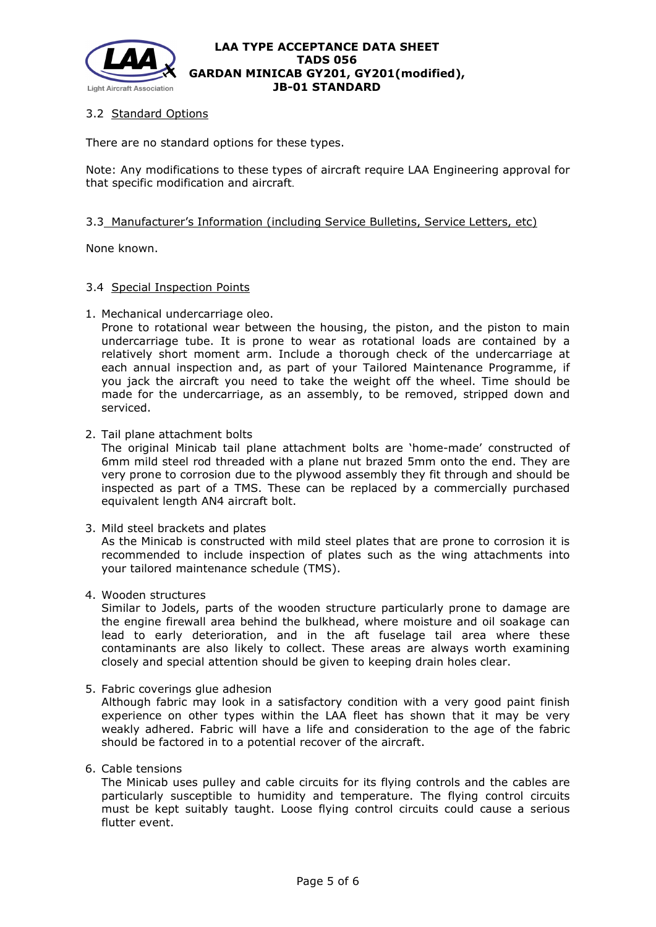

# 3.2 Standard Options

There are no standard options for these types.

Note: Any modifications to these types of aircraft require LAA Engineering approval for that specific modification and aircraft.

## 3.3 Manufacturer's Information (including Service Bulletins, Service Letters, etc)

None known.

#### 3.4 Special Inspection Points

1. Mechanical undercarriage oleo.

Prone to rotational wear between the housing, the piston, and the piston to main undercarriage tube. It is prone to wear as rotational loads are contained by a relatively short moment arm. Include a thorough check of the undercarriage at each annual inspection and, as part of your Tailored Maintenance Programme, if you jack the aircraft you need to take the weight off the wheel. Time should be made for the undercarriage, as an assembly, to be removed, stripped down and serviced.

2. Tail plane attachment bolts

The original Minicab tail plane attachment bolts are 'home-made' constructed of 6mm mild steel rod threaded with a plane nut brazed 5mm onto the end. They are very prone to corrosion due to the plywood assembly they fit through and should be inspected as part of a TMS. These can be replaced by a commercially purchased equivalent length AN4 aircraft bolt.

3. Mild steel brackets and plates

As the Minicab is constructed with mild steel plates that are prone to corrosion it is recommended to include inspection of plates such as the wing attachments into your tailored maintenance schedule (TMS).

4. Wooden structures

Similar to Jodels, parts of the wooden structure particularly prone to damage are the engine firewall area behind the bulkhead, where moisture and oil soakage can lead to early deterioration, and in the aft fuselage tail area where these contaminants are also likely to collect. These areas are always worth examining closely and special attention should be given to keeping drain holes clear.

5. Fabric coverings glue adhesion

Although fabric may look in a satisfactory condition with a very good paint finish experience on other types within the LAA fleet has shown that it may be very weakly adhered. Fabric will have a life and consideration to the age of the fabric should be factored in to a potential recover of the aircraft.

6. Cable tensions

The Minicab uses pulley and cable circuits for its flying controls and the cables are particularly susceptible to humidity and temperature. The flying control circuits must be kept suitably taught. Loose flying control circuits could cause a serious flutter event.